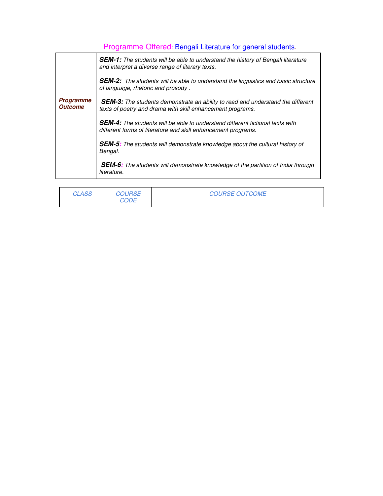## Programme Offered: Bengali Literature for general students.

|                                    | <b>SEM-1:</b> The students will be able to understand the history of Bengali literature<br>and interpret a diverse range of literary texts.           |  |  |
|------------------------------------|-------------------------------------------------------------------------------------------------------------------------------------------------------|--|--|
|                                    | <b>SEM-2:</b> The students will be able to understand the linguistics and basic structure<br>of language, rhetoric and prosody.                       |  |  |
| <b>Programme</b><br><b>Outcome</b> | <b>SEM-3:</b> The students demonstrate an ability to read and understand the different<br>texts of poetry and drama with skill enhancement programs.  |  |  |
|                                    | <b>SEM-4:</b> The students will be able to understand different fictional texts with<br>different forms of literature and skill enhancement programs. |  |  |
|                                    | <b>SEM-5:</b> The students will demonstrate knowledge about the cultural history of<br>Bengal.                                                        |  |  |
|                                    | <b>SEM-6:</b> The students will demonstrate knowledge of the partition of India through<br>literature.                                                |  |  |

| <i>CLASS</i> | <b>COURSE</b><br>CODE | <b>COURSE OUTCOME</b> |
|--------------|-----------------------|-----------------------|
|              |                       |                       |